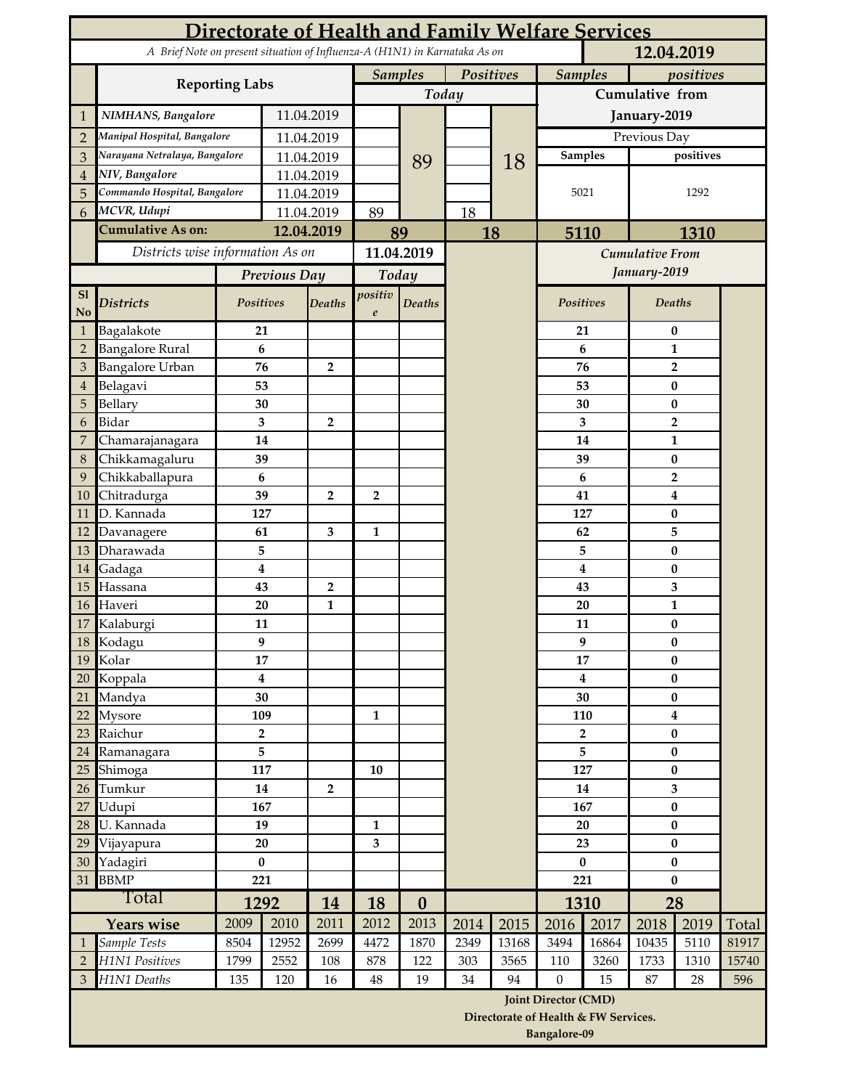|                                                                                          |                                   |                               | Directorate of Health and Family Welfare Services |                |                          |                  |           |                                      |                             |                |                              |                                |       |
|------------------------------------------------------------------------------------------|-----------------------------------|-------------------------------|---------------------------------------------------|----------------|--------------------------|------------------|-----------|--------------------------------------|-----------------------------|----------------|------------------------------|--------------------------------|-------|
| A Brief Note on present situation of Influenza-A (H1N1) in Karnataka As on<br>12.04.2019 |                                   |                               |                                                   |                |                          |                  |           |                                      |                             |                |                              |                                |       |
|                                                                                          |                                   |                               |                                                   |                |                          | <b>Samples</b>   | Positives |                                      | <b>Samples</b><br>positives |                |                              |                                |       |
|                                                                                          | <b>Reporting Labs</b>             |                               |                                                   |                |                          | Today            |           |                                      | Cumulative from             |                |                              |                                |       |
| 1                                                                                        | NIMHANS, Bangalore                | 11.04.2019                    |                                                   |                |                          |                  |           | January-2019                         |                             |                |                              |                                |       |
| $\overline{2}$                                                                           | Manipal Hospital, Bangalore       |                               | 11.04.2019                                        |                |                          |                  |           |                                      |                             |                | Previous Day                 |                                |       |
| 3                                                                                        |                                   | Narayana Netralaya, Bangalore |                                                   | 11.04.2019     |                          | 89               |           | 18                                   |                             | <b>Samples</b> |                              | positives                      |       |
| 4                                                                                        | NIV, Bangalore                    |                               | 11.04.2019                                        |                |                          |                  |           |                                      |                             |                |                              |                                |       |
| 5                                                                                        | Commando Hospital, Bangalore      |                               | 11.04.2019                                        |                |                          |                  |           |                                      |                             | 5021           |                              | 1292                           |       |
| 6                                                                                        | MCVR, Udupi                       |                               |                                                   | 11.04.2019     |                          | 89               |           | 18                                   |                             |                |                              |                                |       |
|                                                                                          | <b>Cumulative As on:</b>          |                               | 12.04.2019                                        |                | 89                       |                  | 18        |                                      | 5110                        |                | 1310                         |                                |       |
|                                                                                          | Districts wise information As on  |                               |                                                   | 11.04.2019     |                          |                  |           |                                      |                             |                | <b>Cumulative From</b>       |                                |       |
|                                                                                          |                                   | Previous Day                  |                                                   | Today          |                          |                  |           |                                      |                             |                | January-2019                 |                                |       |
| S1                                                                                       |                                   |                               |                                                   |                | positiv<br><b>Deaths</b> |                  |           |                                      | Positives                   |                | Deaths                       |                                |       |
| No                                                                                       | <b>Districts</b>                  |                               | Positives                                         | <b>Deaths</b>  | $\boldsymbol{e}$         |                  |           |                                      |                             |                |                              |                                |       |
| 1                                                                                        | Bagalakote                        | 21                            |                                                   |                |                          |                  |           |                                      |                             | 21             |                              | 0                              |       |
| $\overline{2}$                                                                           | <b>Bangalore Rural</b>            | 6                             |                                                   |                |                          |                  |           |                                      |                             | 6              |                              | $\mathbf{1}$<br>$\mathbf{2}$   |       |
| 3                                                                                        | <b>Bangalore Urban</b>            |                               | 76                                                | $\overline{2}$ |                          |                  |           |                                      |                             | 76             |                              |                                |       |
| 4                                                                                        | Belagavi                          |                               | 53                                                |                |                          |                  |           |                                      |                             | 53             | $\pmb{0}$<br>$\bf{0}$        |                                |       |
| 5                                                                                        | Bellary<br>Bidar                  |                               | 30                                                |                |                          |                  |           |                                      | 30                          |                |                              |                                |       |
| 6<br>7                                                                                   |                                   |                               | 3<br>14                                           | $\overline{2}$ |                          |                  |           |                                      |                             | 3<br>14        |                              | $\overline{2}$<br>$\mathbf{1}$ |       |
| 8                                                                                        | Chamarajanagara<br>Chikkamagaluru |                               | 39                                                |                |                          |                  |           |                                      |                             | 39             |                              | $\bf{0}$                       |       |
| 9                                                                                        | Chikkaballapura                   |                               | 6                                                 |                |                          |                  |           |                                      |                             | 6              |                              | $\overline{2}$                 |       |
| 10                                                                                       | Chitradurga                       |                               | 39                                                | $\overline{2}$ | $\overline{2}$           |                  |           |                                      | 41                          |                |                              | $\boldsymbol{4}$               |       |
| 11                                                                                       | D. Kannada                        |                               | 127                                               |                |                          |                  |           |                                      | 127                         |                |                              | $\bf{0}$                       |       |
| 12                                                                                       | Davanagere                        |                               | 61                                                | 3              | 1                        |                  |           |                                      |                             | 62             |                              | 5                              |       |
| 13                                                                                       | Dharawada                         |                               | 5                                                 |                |                          |                  |           |                                      |                             | 5              |                              | $\bf{0}$                       |       |
| 14                                                                                       | Gadaga                            |                               | $\overline{\mathbf{4}}$                           |                |                          |                  |           |                                      | 4                           |                | $\bf{0}$                     |                                |       |
| 15                                                                                       | Hassana                           |                               | 43                                                | $\overline{2}$ |                          |                  |           |                                      | 43                          |                | 3                            |                                |       |
| 16                                                                                       | Haveri                            |                               | 20                                                | $\mathbf{1}$   |                          |                  |           |                                      | 20                          |                | $\mathbf{1}$                 |                                |       |
| 17                                                                                       | Kalaburgi                         |                               | 11                                                |                |                          |                  |           |                                      | 11                          |                | $\pmb{0}$                    |                                |       |
| 18                                                                                       | Kodagu                            |                               | 9                                                 |                |                          |                  |           |                                      | 9                           |                | 0                            |                                |       |
| 19                                                                                       | Kolar                             |                               | 17                                                |                |                          |                  |           |                                      |                             | 17             | $\bf{0}$                     |                                |       |
| 20                                                                                       | Koppala                           |                               | 4                                                 |                |                          |                  |           |                                      | $\overline{4}$              |                | $\bf{0}$                     |                                |       |
| 21                                                                                       | Mandya                            |                               | 30                                                |                |                          |                  |           |                                      | 30                          |                | $\pmb{0}$                    |                                |       |
| 22<br>23                                                                                 | Mysore<br>Raichur                 |                               | 109<br>$\mathbf{2}$                               |                | $\mathbf{1}$             |                  |           |                                      | 110<br>$\overline{2}$       |                | $\boldsymbol{4}$<br>$\bf{0}$ |                                |       |
| 24                                                                                       | Ramanagara                        |                               | 5                                                 |                |                          |                  |           |                                      | 5                           |                | $\bf{0}$                     |                                |       |
| 25                                                                                       | Shimoga                           | 117                           |                                                   |                | 10                       |                  |           |                                      | 127                         |                | $\bf{0}$                     |                                |       |
| 26                                                                                       | Tumkur                            | 14                            |                                                   | $\mathbf 2$    |                          |                  |           |                                      | 14                          |                | $\overline{\mathbf{3}}$      |                                |       |
| 27                                                                                       | Udupi                             | 167                           |                                                   |                |                          |                  |           |                                      | 167                         |                | $\bf{0}$                     |                                |       |
| 28                                                                                       | U. Kannada                        | 19                            |                                                   |                | $\mathbf{1}$             |                  |           |                                      | 20                          |                | $\pmb{0}$                    |                                |       |
| 29                                                                                       | Vijayapura                        | 20                            |                                                   |                | 3                        |                  |           |                                      | 23                          |                | $\bf{0}$                     |                                |       |
| 30                                                                                       | Yadagiri                          | $\bf{0}$                      |                                                   |                |                          |                  |           |                                      | $\bf{0}$                    |                | $\pmb{0}$                    |                                |       |
| 31                                                                                       | <b>BBMP</b>                       | 221                           |                                                   |                |                          |                  |           |                                      | 221                         |                | $\bf{0}$                     |                                |       |
| Total                                                                                    |                                   | 1292                          |                                                   | 14             | 18                       | $\boldsymbol{0}$ |           |                                      | 1310                        |                | 28                           |                                |       |
|                                                                                          | <b>Years wise</b>                 | 2009                          | 2010                                              | 2011           | 2012                     | 2013             | 2014      | 2015                                 | 2016                        | 2017           | 2018                         | 2019                           | Total |
|                                                                                          | Sample Tests                      | 8504                          | 12952                                             | 2699           | 4472                     | 1870             | 2349      | 13168                                | 3494                        | 16864          | 10435                        | 5110                           | 81917 |
| $\overline{2}$                                                                           | <b>H1N1 Positives</b>             | 1799                          | 2552                                              | 108            | 878                      | 122              | 303       | 3565                                 | 110                         | 3260           | 1733                         | 1310                           | 15740 |
| 3                                                                                        | H1N1 Deaths                       | 135                           | 120                                               | 16             | $\rm 48$                 | 19               | 34        | 94                                   | $\theta$                    | 15             | 87                           | 28                             | 596   |
|                                                                                          |                                   |                               |                                                   |                |                          |                  |           |                                      | <b>Joint Director (CMD)</b> |                |                              |                                |       |
|                                                                                          |                                   |                               |                                                   |                |                          |                  |           | Directorate of Health & FW Services. |                             |                |                              |                                |       |
|                                                                                          |                                   |                               |                                                   |                |                          |                  |           |                                      | <b>Bangalore-09</b>         |                |                              |                                |       |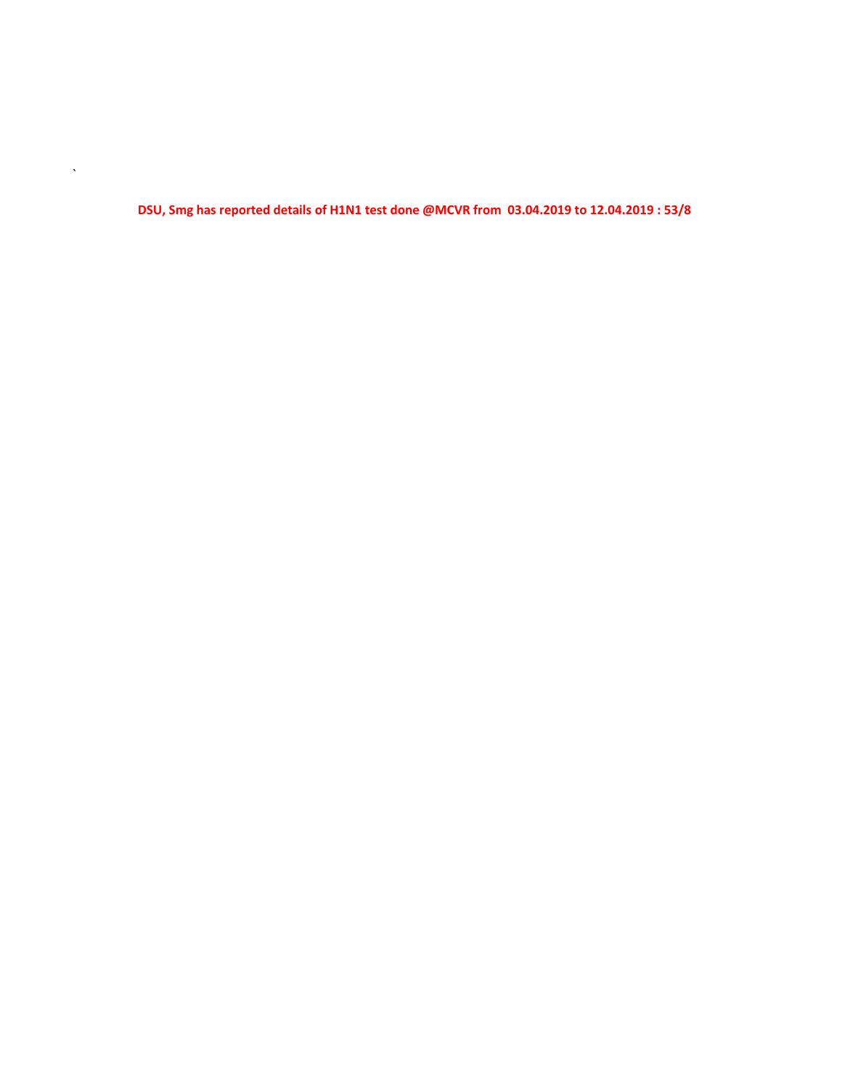**DSU, Smg has reported details of H1N1 test done @MCVR from 03.04.2019 to 12.04.2019 : 53/8**

 $\mathbf{v}^{(i)}$  .